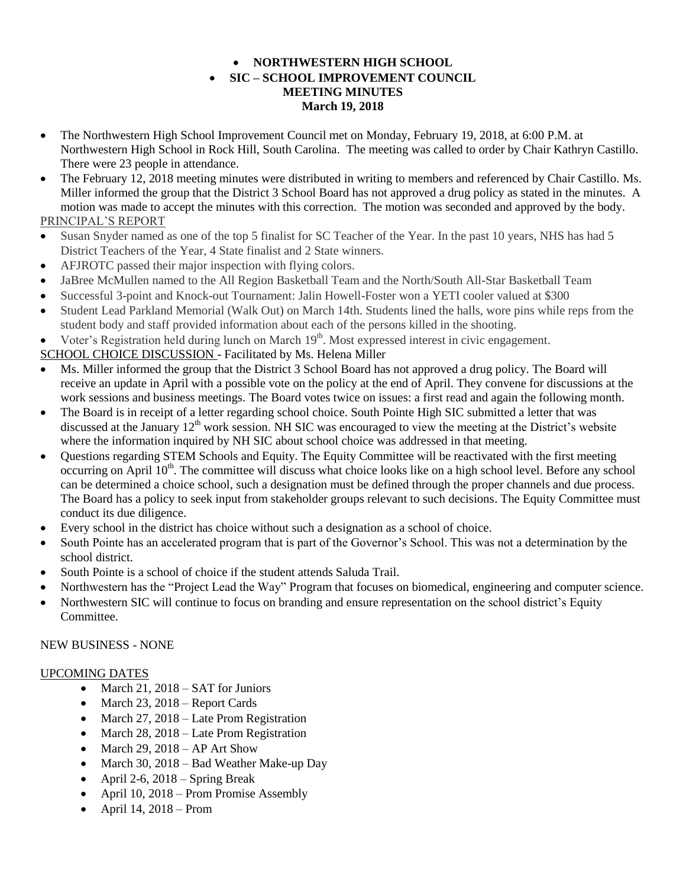## **NORTHWESTERN HIGH SCHOOL SIC – SCHOOL IMPROVEMENT COUNCIL MEETING MINUTES March 19, 2018**

- The Northwestern High School Improvement Council met on Monday, February 19, 2018, at 6:00 P.M. at Northwestern High School in Rock Hill, South Carolina. The meeting was called to order by Chair Kathryn Castillo. There were 23 people in attendance.
- The February 12, 2018 meeting minutes were distributed in writing to members and referenced by Chair Castillo. Ms. Miller informed the group that the District 3 School Board has not approved a drug policy as stated in the minutes. A motion was made to accept the minutes with this correction. The motion was seconded and approved by the body. PRINCIPAL'S REPORT
- Susan Snyder named as one of the top 5 finalist for SC Teacher of the Year. In the past 10 years, NHS has had 5 District Teachers of the Year, 4 State finalist and 2 State winners.
- AFJROTC passed their major inspection with flying colors.
- JaBree McMullen named to the All Region Basketball Team and the North/South All-Star Basketball Team
- Successful 3-point and Knock-out Tournament: Jalin Howell-Foster won a YETI cooler valued at \$300
- Student Lead Parkland Memorial (Walk Out) on March 14th. Students lined the halls, wore pins while reps from the student body and staff provided information about each of the persons killed in the shooting.
- Voter's Registration held during lunch on March  $19<sup>th</sup>$ . Most expressed interest in civic engagement.
- SCHOOL CHOICE DISCUSSION Facilitated by Ms. Helena Miller
- Ms. Miller informed the group that the District 3 School Board has not approved a drug policy. The Board will receive an update in April with a possible vote on the policy at the end of April. They convene for discussions at the work sessions and business meetings. The Board votes twice on issues: a first read and again the following month.
- The Board is in receipt of a letter regarding school choice. South Pointe High SIC submitted a letter that was discussed at the January  $12<sup>th</sup>$  work session. NH SIC was encouraged to view the meeting at the District's website where the information inquired by NH SIC about school choice was addressed in that meeting.
- Questions regarding STEM Schools and Equity. The Equity Committee will be reactivated with the first meeting occurring on April  $10<sup>th</sup>$ . The committee will discuss what choice looks like on a high school level. Before any school can be determined a choice school, such a designation must be defined through the proper channels and due process. The Board has a policy to seek input from stakeholder groups relevant to such decisions. The Equity Committee must conduct its due diligence.
- Every school in the district has choice without such a designation as a school of choice.
- South Pointe has an accelerated program that is part of the Governor's School. This was not a determination by the school district.
- South Pointe is a school of choice if the student attends Saluda Trail.
- Northwestern has the "Project Lead the Way" Program that focuses on biomedical, engineering and computer science.
- Northwestern SIC will continue to focus on branding and ensure representation on the school district's Equity Committee.

## NEW BUSINESS - NONE

## UPCOMING DATES

- March 21,  $2018 SAT$  for Juniors
- $\bullet$  March 23, 2018 Report Cards
- March 27, 2018 Late Prom Registration
- March 28, 2018 Late Prom Registration
- March 29, 2018 AP Art Show
- March 30, 2018 Bad Weather Make-up Day
- April 2-6,  $2018 -$  Spring Break
- April 10, 2018 Prom Promise Assembly
- April 14,  $2018$  Prom